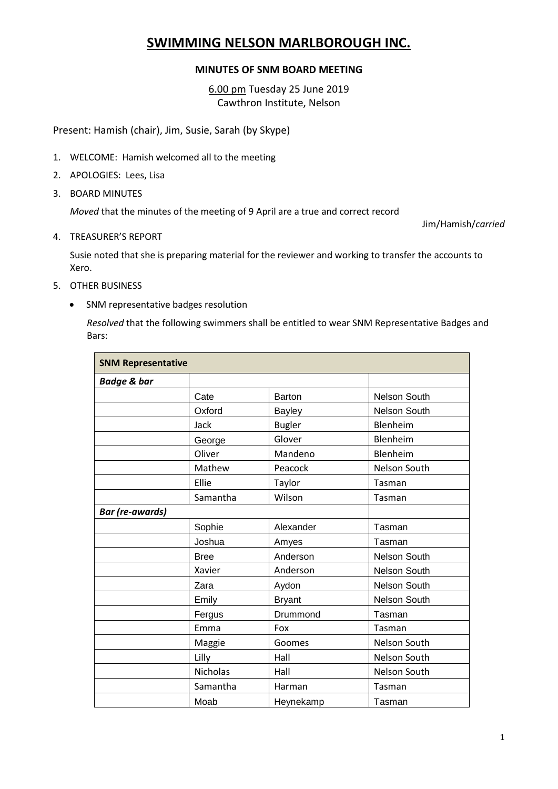## **SWIMMING NELSON MARLBOROUGH INC.**

## **MINUTES OF SNM BOARD MEETING**

6.00 pm Tuesday 25 June 2019 Cawthron Institute, Nelson

Present: Hamish (chair), Jim, Susie, Sarah (by Skype)

- 1. WELCOME: Hamish welcomed all to the meeting
- 2. APOLOGIES: Lees, Lisa
- 3. BOARD MINUTES

*Moved* that the minutes of the meeting of 9 April are a true and correct record

Jim/Hamish/*carried*

4. TREASURER'S REPORT

Susie noted that she is preparing material for the reviewer and working to transfer the accounts to Xero.

- 5. OTHER BUSINESS
	- SNM representative badges resolution

*Resolved* that the following swimmers shall be entitled to wear SNM Representative Badges and Bars:

| <b>SNM Representative</b> |                 |               |                     |  |
|---------------------------|-----------------|---------------|---------------------|--|
| <b>Badge &amp; bar</b>    |                 |               |                     |  |
|                           | Cate            | <b>Barton</b> | <b>Nelson South</b> |  |
|                           | Oxford          | Bayley        | Nelson South        |  |
|                           | Jack            | <b>Bugler</b> | Blenheim            |  |
|                           | George          | Glover        | Blenheim            |  |
|                           | Oliver          | Mandeno       | Blenheim            |  |
|                           | Mathew          | Peacock       | Nelson South        |  |
|                           | Ellie           | Taylor        | Tasman              |  |
|                           | Samantha        | Wilson        | Tasman              |  |
| <b>Bar</b> (re-awards)    |                 |               |                     |  |
|                           | Sophie          | Alexander     | Tasman              |  |
|                           | Joshua          | Amyes         | Tasman              |  |
|                           | <b>Bree</b>     | Anderson      | Nelson South        |  |
|                           | Xavier          | Anderson      | Nelson South        |  |
|                           | Zara            | Aydon         | Nelson South        |  |
|                           | Emily           | <b>Bryant</b> | Nelson South        |  |
|                           | Fergus          | Drummond      | Tasman              |  |
|                           | Emma            | Fox           | Tasman              |  |
|                           | Maggie          | Goomes        | Nelson South        |  |
|                           | Lilly           | Hall          | Nelson South        |  |
|                           | <b>Nicholas</b> | Hall          | Nelson South        |  |
|                           | Samantha        | Harman        | Tasman              |  |
|                           | Moab            | Heynekamp     | Tasman              |  |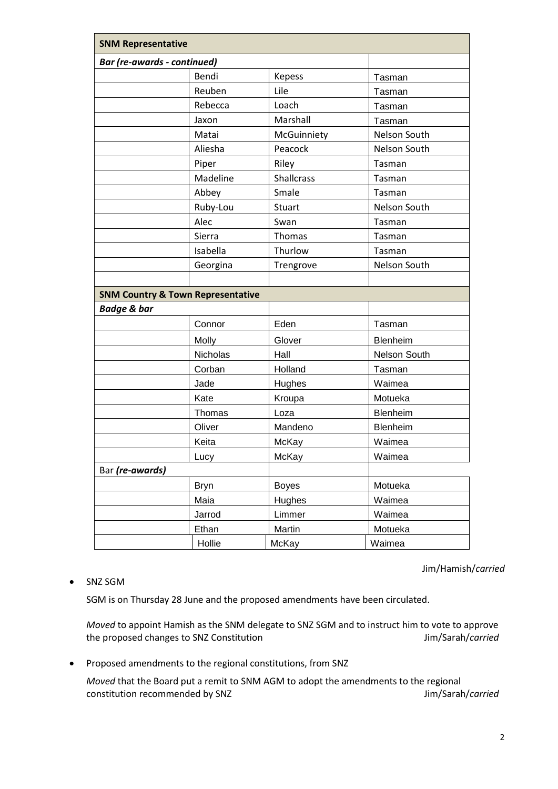| <b>SNM Representative</b>                    |             |                   |              |  |
|----------------------------------------------|-------------|-------------------|--------------|--|
| <b>Bar (re-awards - continued)</b>           |             |                   |              |  |
|                                              | Bendi       | <b>Kepess</b>     | Tasman       |  |
|                                              | Reuben      | Lile              | Tasman       |  |
|                                              | Rebecca     | Loach             | Tasman       |  |
|                                              | Jaxon       | Marshall          | Tasman       |  |
|                                              | Matai       | McGuinniety       | Nelson South |  |
|                                              | Aliesha     | Peacock           | Nelson South |  |
|                                              | Piper       | Riley             | Tasman       |  |
|                                              | Madeline    | <b>Shallcrass</b> | Tasman       |  |
|                                              | Abbey       | Smale             | Tasman       |  |
|                                              | Ruby-Lou    | Stuart            | Nelson South |  |
|                                              | Alec        | Swan              | Tasman       |  |
|                                              | Sierra      | Thomas            | Tasman       |  |
|                                              | Isabella    | Thurlow           | Tasman       |  |
|                                              | Georgina    | Trengrove         | Nelson South |  |
|                                              |             |                   |              |  |
| <b>SNM Country &amp; Town Representative</b> |             |                   |              |  |
| <b>Badge &amp; bar</b>                       |             |                   |              |  |
|                                              | Connor      | Eden              | Tasman       |  |
|                                              | Molly       | Glover            | Blenheim     |  |
|                                              | Nicholas    | Hall              | Nelson South |  |
|                                              | Corban      | Holland           | Tasman       |  |
|                                              | Jade        | Hughes            | Waimea       |  |
|                                              | Kate        | Kroupa            | Motueka      |  |
|                                              | Thomas      | Loza              | Blenheim     |  |
|                                              | Oliver      | Mandeno           | Blenheim     |  |
|                                              | Keita       | McKay             | Waimea       |  |
|                                              | Lucy        | McKay             | Waimea       |  |
| Bar (re-awards)                              |             |                   |              |  |
|                                              | <b>Bryn</b> | <b>Boyes</b>      | Motueka      |  |
|                                              | Maia        | Hughes            | Waimea       |  |
|                                              | Jarrod      | Limmer            | Waimea       |  |
|                                              | Ethan       | Martin            | Motueka      |  |
|                                              | Hollie      | McKay             | Waimea       |  |

Jim/Hamish/*carried*

## • SNZ SGM

SGM is on Thursday 28 June and the proposed amendments have been circulated.

*Moved* to appoint Hamish as the SNM delegate to SNZ SGM and to instruct him to vote to approve the proposed changes to SNZ Constitution **Jim/Sarah/***carried* Jim/Sarah/*carried* 

Proposed amendments to the regional constitutions, from SNZ

*Moved* that the Board put a remit to SNM AGM to adopt the amendments to the regional constitution recommended by SNZ developed and the state of the state of the state of the state of the state of the state of the state of the state of the state of the state of the state of the state of the state of the sta